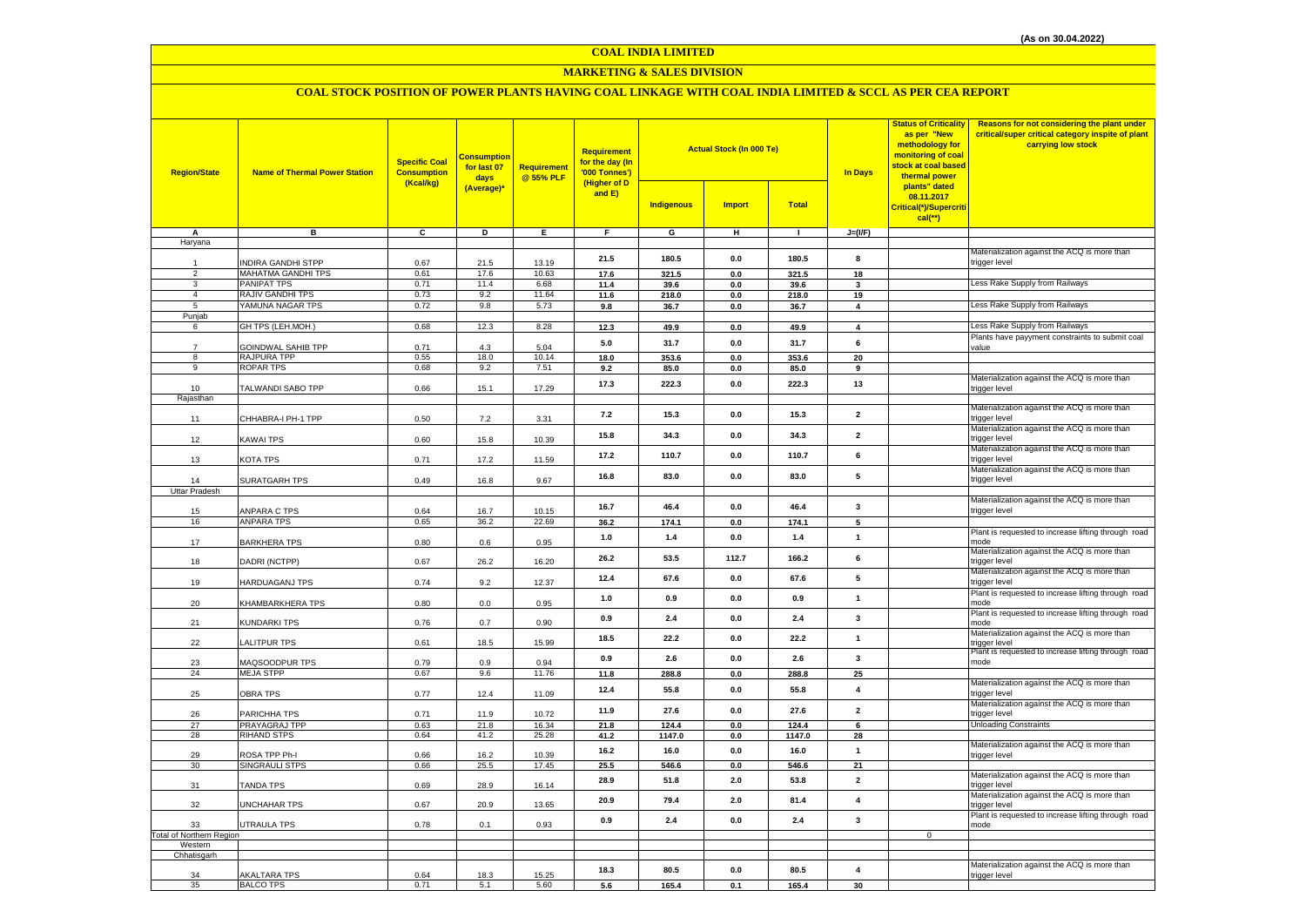**COAL INDIA LIMITED**

#### **MARKETING & SALES DIVISION**

## **COAL STOCK POSITION OF POWER PLANTS HAVING COAL LINKAGE WITH COAL INDIA LIMITED & SCCL AS PER CEA REPORT**

| <b>Region/State</b>             | <b>Name of Thermal Power Station</b>     | <b>Specific Coal</b><br><b>Consumption</b><br>(Kcal/kg) | <b>Consumption</b><br>for last 07<br>days<br>(Average)* | <b>Requirement</b><br>@ 55% PLF | Requirement<br>for the day (In<br>'000 Tonnes')<br>(Higher of D<br>and E) | <b>Actual Stock (In 000 Te)</b><br><b>Indigenous</b><br><b>Import</b><br><b>Total</b> |                |              | <b>In Days</b>          | <b>Status of Criticality</b><br>as per "New<br>methodology for<br>monitoring of coal<br>stock at coal based<br>thermal power<br>plants" dated<br>08.11.2017<br>Critical(*)/Supercriti | <b>Reasons for not considering the plant under</b><br>critical/super critical category inspite of plant<br>carrying low stock |
|---------------------------------|------------------------------------------|---------------------------------------------------------|---------------------------------------------------------|---------------------------------|---------------------------------------------------------------------------|---------------------------------------------------------------------------------------|----------------|--------------|-------------------------|---------------------------------------------------------------------------------------------------------------------------------------------------------------------------------------|-------------------------------------------------------------------------------------------------------------------------------|
|                                 |                                          |                                                         |                                                         |                                 |                                                                           |                                                                                       |                |              |                         | $cal$ (**)                                                                                                                                                                            |                                                                                                                               |
| Α                               | B                                        | $\overline{c}$                                          | D                                                       | E                               | F                                                                         | G                                                                                     | н              | $\mathbf{I}$ | $J=(I/F)$               |                                                                                                                                                                                       |                                                                                                                               |
| Haryana                         |                                          |                                                         |                                                         |                                 |                                                                           |                                                                                       |                |              |                         |                                                                                                                                                                                       | Materialization against the ACQ is more than                                                                                  |
|                                 | <b>NDIRA GANDHI STPP</b>                 | 0.67                                                    | 21.5                                                    | 13.19                           | 21.5                                                                      | 180.5                                                                                 | 0.0            | 180.5        | 8                       |                                                                                                                                                                                       | trigger level                                                                                                                 |
| $\overline{2}$                  | MAHATMA GANDHI TPS                       | 0.61                                                    | 17.6                                                    | 10.63                           | 17.6                                                                      | 321.5                                                                                 | 0.0            | 321.5        | 18                      |                                                                                                                                                                                       |                                                                                                                               |
| 3                               | PANIPAT TPS                              | 0.71                                                    | 11.4                                                    | 6.68                            | 11.4                                                                      | 39.6                                                                                  | $0.0\,$        | 39.6         | $\mathbf{3}$            |                                                                                                                                                                                       | Less Rake Supply from Railways                                                                                                |
| $\overline{4}$                  | RAJIV GANDHI TPS                         | 0.73                                                    | 9.2                                                     | 11.64                           | 11.6                                                                      | 218.0                                                                                 | 0.0            | 218.0        | 19                      |                                                                                                                                                                                       |                                                                                                                               |
| 5                               | YAMUNA NAGAR TPS                         | 0.72                                                    | 9.8                                                     | 5.73                            | 9.8                                                                       | 36.7                                                                                  | 0.0            | 36.7         | $\overline{4}$          |                                                                                                                                                                                       | Less Rake Supply from Railways                                                                                                |
| Punjab<br>6                     | GH TPS (LEH.MOH.)                        | 0.68                                                    | 12.3                                                    | 8.28                            | 12.3                                                                      | 49.9                                                                                  | 0.0            | 49.9         | $\overline{\mathbf{4}}$ |                                                                                                                                                                                       | Less Rake Supply from Railways                                                                                                |
|                                 |                                          |                                                         |                                                         |                                 |                                                                           |                                                                                       |                |              |                         |                                                                                                                                                                                       | Plants have payyment constraints to submit coal                                                                               |
|                                 | <b>GOINDWAL SAHIB TPP</b>                | 0.71                                                    | 4.3                                                     | 5.04                            | 5.0                                                                       | 31.7                                                                                  | 0.0            | 31.7         | $\bf 6$                 |                                                                                                                                                                                       | value                                                                                                                         |
| 8                               | RAJPURA TPP                              | 0.55                                                    | 18.0                                                    | 10.14                           | 18.0                                                                      | 353.6                                                                                 | 0.0            | 353.6        | 20                      |                                                                                                                                                                                       |                                                                                                                               |
| 9                               | ROPAR TPS                                | 0.68                                                    | 9.2                                                     | 7.51                            | 9.2                                                                       | 85.0                                                                                  | 0.0            | 85.0         | 9                       |                                                                                                                                                                                       |                                                                                                                               |
| 10                              | TALWANDI SABO TPP                        | 0.66                                                    | 15.1                                                    | 17.29                           | 17.3                                                                      | 222.3                                                                                 | 0.0            | 222.3        | 13                      |                                                                                                                                                                                       | Materialization against the ACQ is more than                                                                                  |
| Rajasthan                       |                                          |                                                         |                                                         |                                 |                                                                           |                                                                                       |                |              |                         |                                                                                                                                                                                       | trigger level                                                                                                                 |
|                                 |                                          |                                                         |                                                         |                                 |                                                                           |                                                                                       |                |              |                         |                                                                                                                                                                                       | Materialization against the ACQ is more than                                                                                  |
| 11                              | CHHABRA-I PH-1 TPP                       | 0.50                                                    | 7.2                                                     | 3.31                            | 7.2                                                                       | 15.3                                                                                  | 0.0            | 15.3         | $\overline{2}$          |                                                                                                                                                                                       | rigger level                                                                                                                  |
|                                 |                                          |                                                         |                                                         |                                 | 15.8                                                                      | 34.3                                                                                  | $0.0\,$        | 34.3         | $\overline{2}$          |                                                                                                                                                                                       | Materialization against the ACQ is more than                                                                                  |
| 12                              | KAWAI TPS                                | 0.60                                                    | 15.8                                                    | 10.39                           |                                                                           |                                                                                       |                |              |                         |                                                                                                                                                                                       | rigger level<br>Materialization against the ACQ is more than                                                                  |
| 13                              | KOTA TPS                                 | 0.71                                                    | 17.2                                                    | 11.59                           | 17.2                                                                      | 110.7                                                                                 | 0.0            | 110.7        | 6                       |                                                                                                                                                                                       | trigger level                                                                                                                 |
|                                 |                                          |                                                         |                                                         |                                 |                                                                           |                                                                                       |                |              |                         |                                                                                                                                                                                       | Materialization against the ACQ is more than                                                                                  |
| 14                              | SURATGARH TPS                            | 0.49                                                    | 16.8                                                    | 9.67                            | 16.8                                                                      | 83.0                                                                                  | $0.0\,$        | 83.0         | 5                       |                                                                                                                                                                                       | rigger level                                                                                                                  |
| <b>Uttar Pradesh</b>            |                                          |                                                         |                                                         |                                 |                                                                           |                                                                                       |                |              |                         |                                                                                                                                                                                       |                                                                                                                               |
|                                 |                                          |                                                         |                                                         |                                 | 16.7                                                                      | 46.4                                                                                  | 0.0            | 46.4         | $\mathbf{3}$            |                                                                                                                                                                                       | Materialization against the ACQ is more than<br>trigger level                                                                 |
| 15<br>16                        | <b>ANPARA C TPS</b><br><b>ANPARA TPS</b> | 0.64<br>0.65                                            | 16.7<br>36.2                                            | 10.15<br>22.69                  | 36.2                                                                      | 174.1                                                                                 | $\mathbf{0.0}$ | 174.1        | 5                       |                                                                                                                                                                                       |                                                                                                                               |
|                                 |                                          |                                                         |                                                         |                                 |                                                                           |                                                                                       |                |              |                         |                                                                                                                                                                                       | Plant is requested to increase lifting through road                                                                           |
| 17                              | <b>BARKHERA TPS</b>                      | 0.80                                                    | 0.6                                                     | 0.95                            | 1.0                                                                       | 1.4                                                                                   | 0.0            | 1.4          | $\overline{1}$          |                                                                                                                                                                                       | mode                                                                                                                          |
|                                 |                                          |                                                         |                                                         |                                 | 26.2                                                                      | 53.5                                                                                  | 112.7          | 166.2        | 6                       |                                                                                                                                                                                       | Materialization against the ACQ is more than                                                                                  |
| 18                              | DADRI (NCTPP)                            | 0.67                                                    | 26.2                                                    | 16.20                           |                                                                           |                                                                                       |                |              |                         |                                                                                                                                                                                       | rigger level                                                                                                                  |
| 19                              | HARDUAGANJ TPS                           | 0.74                                                    | 9.2                                                     | 12.37                           | 12.4                                                                      | 67.6                                                                                  | 0.0            | 67.6         | 5                       |                                                                                                                                                                                       | Materialization against the ACQ is more than<br>rigger level                                                                  |
|                                 |                                          |                                                         |                                                         |                                 |                                                                           |                                                                                       |                |              |                         |                                                                                                                                                                                       | Plant is requested to increase lifting through road                                                                           |
| 20                              | KHAMBARKHERA TPS                         | 0.80                                                    | 0.0                                                     | 0.95                            | $1.0$                                                                     | 0.9                                                                                   | $0.0\,$        | 0.9          | $\mathbf{1}$            |                                                                                                                                                                                       | mode                                                                                                                          |
|                                 |                                          |                                                         |                                                         |                                 | 0.9                                                                       | 2.4                                                                                   | 0.0            | 2.4          | $\mathbf{3}$            |                                                                                                                                                                                       | Plant is requested to increase lifting through road                                                                           |
| 21                              | KUNDARKI TPS                             | 0.76                                                    | 0.7                                                     | 0.90                            |                                                                           |                                                                                       |                |              |                         |                                                                                                                                                                                       | mode                                                                                                                          |
| 22                              | ALITPUR TPS                              | 0.61                                                    | 18.5                                                    | 15.99                           | 18.5                                                                      | 22.2                                                                                  | $0.0\,$        | 22.2         | $\mathbf{1}$            |                                                                                                                                                                                       | Materialization against the ACQ is more than<br>trigger level                                                                 |
|                                 |                                          |                                                         |                                                         |                                 |                                                                           |                                                                                       |                |              |                         |                                                                                                                                                                                       | Plant is requested to increase lifting through road                                                                           |
| 23                              | <b>AAQSOODPUR TPS</b>                    | 0.79                                                    | 0.9                                                     | 0.94                            | 0.9                                                                       | 2.6                                                                                   | 0.0            | 2.6          | $\mathbf{3}$            |                                                                                                                                                                                       | mode                                                                                                                          |
| 24                              | <b>MEJA STPP</b>                         | 0.67                                                    | 9.6                                                     | 11.76                           | 11.8                                                                      | 288.8                                                                                 | $0.0\,$        | 288.8        | 25                      |                                                                                                                                                                                       |                                                                                                                               |
| 25                              | <b>OBRA TPS</b>                          | 0.77                                                    | 12.4                                                    | 11.09                           | 12.4                                                                      | 55.8                                                                                  | $0.0\,$        | 55.8         | $\overline{\mathbf{4}}$ |                                                                                                                                                                                       | Materialization against the ACQ is more than<br>rigger level                                                                  |
|                                 |                                          |                                                         |                                                         |                                 |                                                                           |                                                                                       |                |              |                         |                                                                                                                                                                                       | Materialization against the ACQ is more than                                                                                  |
| 26                              | PARICHHA TPS                             | 0.71                                                    | 11.9                                                    | 10.72                           | 11.9                                                                      | 27.6                                                                                  | 0.0            | 27.6         | $\overline{2}$          |                                                                                                                                                                                       | rigger level                                                                                                                  |
| 27                              | <b>PRAYAGRAJ TPP</b>                     | 0.63                                                    | 21.8                                                    | 16.34                           | 21.8                                                                      | 124.4                                                                                 | 0.0            | 124.4        | $6\overline{6}$         |                                                                                                                                                                                       | <b>Unloading Constraints</b>                                                                                                  |
| 28                              | RIHAND STPS                              | 0.64                                                    | 41.2                                                    | 25.28                           | 41.2                                                                      | 1147.0                                                                                | 0.0            | 1147.0       | 28                      |                                                                                                                                                                                       |                                                                                                                               |
| 29                              | <b>ROSA TPP Ph-I</b>                     | 0.66                                                    |                                                         | 10.39                           | 16.2                                                                      | 16.0                                                                                  | 0.0            | 16.0         | $\mathbf{1}$            |                                                                                                                                                                                       | Materialization against the ACQ is more than                                                                                  |
| 30                              | SINGRAULI STPS                           | 0.66                                                    | 16.2<br>25.5                                            | 17.45                           | 25.5                                                                      | 546.6                                                                                 | 0.0            | 546.6        | 21                      |                                                                                                                                                                                       | trigger level                                                                                                                 |
|                                 |                                          |                                                         |                                                         |                                 |                                                                           |                                                                                       |                |              |                         |                                                                                                                                                                                       | Materialization against the ACQ is more than                                                                                  |
| 31                              | <b>TANDA TPS</b>                         | 0.69                                                    | 28.9                                                    | 16.14                           | 28.9                                                                      | 51.8                                                                                  | 2.0            | 53.8         | $\overline{\mathbf{2}}$ |                                                                                                                                                                                       | trigger level                                                                                                                 |
|                                 |                                          |                                                         |                                                         |                                 | 20.9                                                                      | 79.4                                                                                  | 2.0            | 81.4         | $\overline{\mathbf{4}}$ |                                                                                                                                                                                       | Materialization against the ACQ is more than                                                                                  |
| 32                              | <b>JNCHAHAR TPS</b>                      | 0.67                                                    | 20.9                                                    | 13.65                           |                                                                           |                                                                                       |                |              |                         |                                                                                                                                                                                       | trigger level<br>Plant is requested to increase lifting through road                                                          |
| 33                              | UTRAULA TPS                              | 0.78                                                    | 0.1                                                     | 0.93                            | 0.9                                                                       | 2.4                                                                                   | 0.0            | 2.4          | $\mathbf{3}$            |                                                                                                                                                                                       | mode                                                                                                                          |
| <b>Total of Northern Region</b> |                                          |                                                         |                                                         |                                 |                                                                           |                                                                                       |                |              |                         | $\mathbf 0$                                                                                                                                                                           |                                                                                                                               |
| Western                         |                                          |                                                         |                                                         |                                 |                                                                           |                                                                                       |                |              |                         |                                                                                                                                                                                       |                                                                                                                               |
| Chhatisgarh                     |                                          |                                                         |                                                         |                                 |                                                                           |                                                                                       |                |              |                         |                                                                                                                                                                                       |                                                                                                                               |
| 34                              | AKALTARA TPS                             | 0.64                                                    | 18.3                                                    | 15.25                           | 18.3                                                                      | 80.5                                                                                  | 0.0            | 80.5         | $\overline{\mathbf{4}}$ |                                                                                                                                                                                       | Materialization against the ACQ is more than<br>trigger level                                                                 |
| 35                              | <b>BALCO TPS</b>                         | 0.71                                                    | 5.1                                                     | 5.60                            | 5.6                                                                       | 165.4                                                                                 | 0.1            | 165.4        | 30                      |                                                                                                                                                                                       |                                                                                                                               |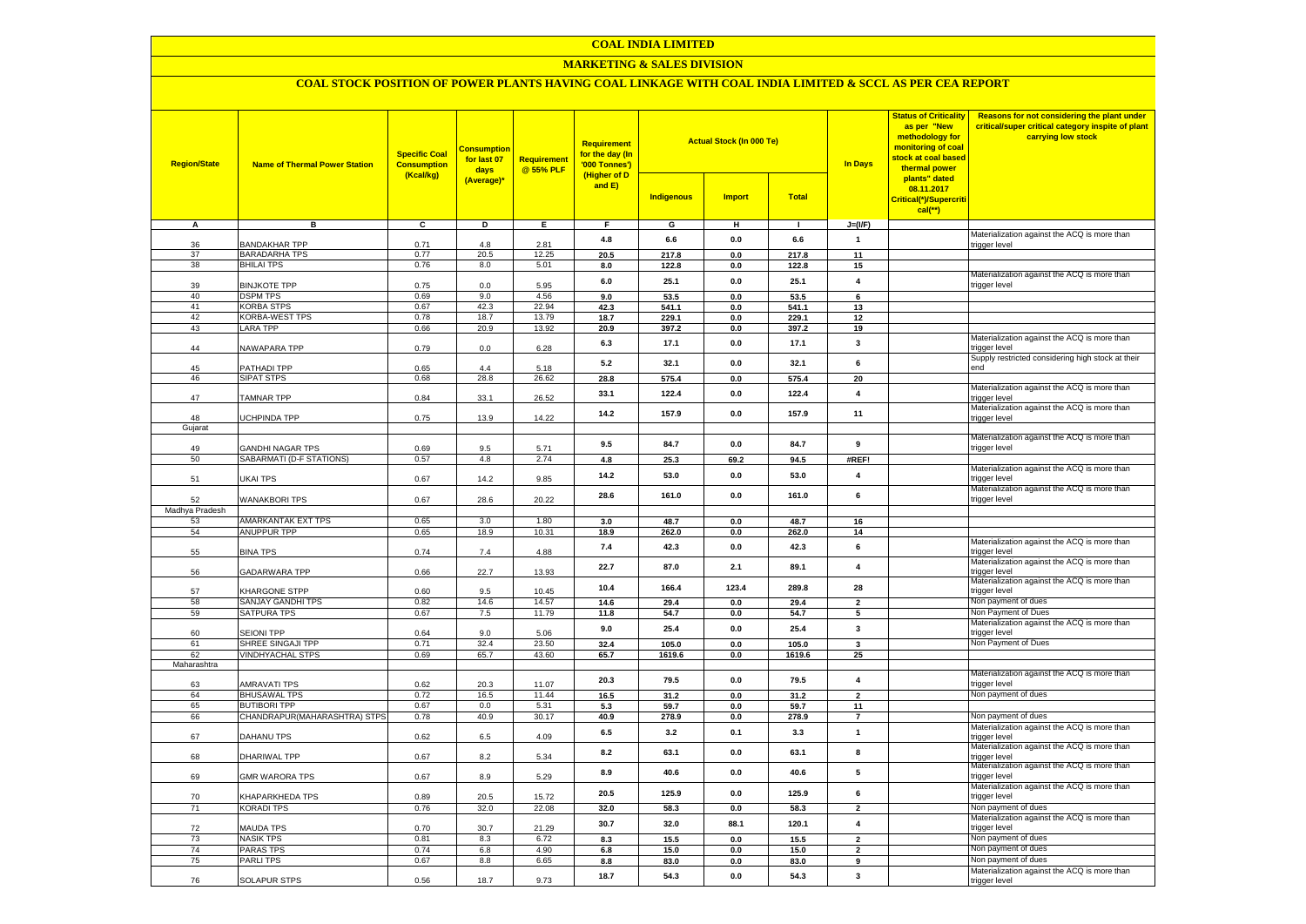#### **COAL INDIA LIMITED**

## **MARKETING & SALES DIVISION**

## **COAL STOCK POSITION OF POWER PLANTS HAVING COAL LINKAGE WITH COAL INDIA LIMITED & SCCL AS PER CEA REPORT**

| <b>Region/State</b> | <b>Name of Thermal Power Station</b>         | <b>Specific Coal</b><br><b>Consumption</b><br>(Kcal/kg) | <b>Consumption</b><br>for last 07<br>days<br>(Average)* | <b>Requirement</b><br>@ 55% PLF | <b>Requirement</b><br>for the day (In<br>'000 Tonnes')<br>(Higher of D<br>and $E$ ) | <b>Indigenous</b> | <b>Actual Stock (In 000 Te)</b><br><b>Import</b> | <b>Total</b>   | <b>In Days</b>                | <b>Status of Criticality</b><br>as per "New<br>methodology for<br>monitoring of coal<br><mark>stock at coal based</mark><br>thermal power<br>plants" dated<br>08.11.2017<br>Critical(*)/Supercriti<br>$cal$ (**) | Reasons for not considering the plant under<br>critical/super critical category inspite of plant<br>carrying low stock |
|---------------------|----------------------------------------------|---------------------------------------------------------|---------------------------------------------------------|---------------------------------|-------------------------------------------------------------------------------------|-------------------|--------------------------------------------------|----------------|-------------------------------|------------------------------------------------------------------------------------------------------------------------------------------------------------------------------------------------------------------|------------------------------------------------------------------------------------------------------------------------|
| A                   | в                                            | c                                                       | D                                                       | Ε                               | F                                                                                   | G                 | н                                                | $\mathbf{L}$   | $J=(VF)$                      |                                                                                                                                                                                                                  |                                                                                                                        |
|                     |                                              |                                                         |                                                         |                                 | 4.8                                                                                 | 6.6               | 0.0                                              | 6.6            | $\mathbf{1}$                  |                                                                                                                                                                                                                  | Materialization against the ACQ is more than                                                                           |
| 36                  | BANDAKHAR TPP                                | 0.71                                                    | 4.8                                                     | 2.81                            |                                                                                     |                   |                                                  |                |                               |                                                                                                                                                                                                                  | trigger level                                                                                                          |
| 37<br>38            | <b>BARADARHA TPS</b><br><b>BHILAI TPS</b>    | 0.77<br>0.76                                            | 20.5<br>8.0                                             | 12.25<br>5.01                   | 20.5<br>8.0                                                                         | 217.8<br>122.8    | 0.0<br>0.0                                       | 217.8<br>122.8 | 11<br>15                      |                                                                                                                                                                                                                  |                                                                                                                        |
|                     |                                              |                                                         |                                                         |                                 |                                                                                     |                   |                                                  |                |                               |                                                                                                                                                                                                                  | Materialization against the ACQ is more than                                                                           |
| 39                  | <b>BINJKOTE TPP</b>                          | 0.75                                                    | $0.0\,$                                                 | 5.95                            | 6.0                                                                                 | 25.1              | 0.0                                              | 25.1           | $\overline{\mathbf{4}}$       |                                                                                                                                                                                                                  | trigger level                                                                                                          |
| 40                  | <b>DSPM TPS</b>                              | 0.69                                                    | 9.0                                                     | 4.56                            | 9.0                                                                                 | 53.5              | 0.0                                              | 53.5           | 6                             |                                                                                                                                                                                                                  |                                                                                                                        |
| 41                  | <b>KORBA STPS</b>                            | 0.67                                                    | 42.3                                                    | 22.94                           | 42.3                                                                                | 541.1             | 0.0                                              | 541.1          | 13                            |                                                                                                                                                                                                                  |                                                                                                                        |
| 42                  | KORBA-WEST TPS                               | 0.78                                                    | 18.7                                                    | 13.79                           | 18.7                                                                                | 229.1             | 0.0                                              | 229.1          | 12                            |                                                                                                                                                                                                                  |                                                                                                                        |
| 43                  | <b>LARA TPP</b>                              | 0.66                                                    | 20.9                                                    | 13.92                           | 20.9                                                                                | 397.2             | 0.0                                              | 397.2          | 19                            |                                                                                                                                                                                                                  |                                                                                                                        |
| 44                  | <b>VAWAPARA TPP</b>                          | 0.79                                                    | 0.0                                                     | 6.28                            | 6.3                                                                                 | 17.1              | 0.0                                              | 17.1           | $\mathbf{3}$                  |                                                                                                                                                                                                                  | Materialization against the ACQ is more than<br>rigger level                                                           |
|                     |                                              |                                                         |                                                         |                                 |                                                                                     |                   |                                                  |                |                               |                                                                                                                                                                                                                  | Supply restricted considering high stock at their                                                                      |
| 45                  | <b>PATHADI TPP</b>                           | 0.65                                                    | 44                                                      | 5.18                            | 5.2                                                                                 | 32.1              | 0.0                                              | 32.1           | 6                             |                                                                                                                                                                                                                  | hne                                                                                                                    |
| 46                  | SIPAT STPS                                   | 0.68                                                    | 28.8                                                    | 26.62                           | 28.8                                                                                | 575.4             | 0.0                                              | 575.4          | 20                            |                                                                                                                                                                                                                  |                                                                                                                        |
|                     |                                              |                                                         |                                                         |                                 | 33.1                                                                                | 122.4             | 0.0                                              | 122.4          | $\overline{\mathbf{4}}$       |                                                                                                                                                                                                                  | Materialization against the ACQ is more than                                                                           |
| 47                  | TAMNAR TPP                                   | 0.84                                                    | 33.1                                                    | 26.52                           |                                                                                     |                   |                                                  |                |                               |                                                                                                                                                                                                                  | trigger level                                                                                                          |
| 48                  | <b>JCHPINDA TPP</b>                          | 0.75                                                    | 13.9                                                    | 14.22                           | 14.2                                                                                | 157.9             | 0.0                                              | 157.9          | 11                            |                                                                                                                                                                                                                  | Materialization against the ACQ is more than<br>trigger level                                                          |
| Gujarat             |                                              |                                                         |                                                         |                                 |                                                                                     |                   |                                                  |                |                               |                                                                                                                                                                                                                  |                                                                                                                        |
|                     |                                              |                                                         |                                                         |                                 |                                                                                     |                   |                                                  |                |                               |                                                                                                                                                                                                                  | Materialization against the ACQ is more than                                                                           |
| 49                  | <b>GANDHI NAGAR TPS</b>                      | 0.69                                                    | 9.5                                                     | 5.71                            | 9.5                                                                                 | 84.7              | 0.0                                              | 84.7           | 9                             |                                                                                                                                                                                                                  | trigger level                                                                                                          |
| 50                  | SABARMATI (D-F STATIONS)                     | 0.57                                                    | 4.8                                                     | 2.74                            | 4.8                                                                                 | 25.3              | 69.2                                             | 94.5           | #REF!                         |                                                                                                                                                                                                                  |                                                                                                                        |
|                     |                                              |                                                         |                                                         |                                 | 14.2                                                                                | 53.0              | 0.0                                              | 53.0           | $\overline{4}$                |                                                                                                                                                                                                                  | Materialization against the ACQ is more than                                                                           |
| 51                  | UKAI TPS                                     | 0.67                                                    | 14.2                                                    | 9.85                            |                                                                                     |                   |                                                  |                |                               |                                                                                                                                                                                                                  | rigger level<br>Materialization against the ACQ is more than                                                           |
| 52                  | <b>WANAKBORI TPS</b>                         | 0.67                                                    | 28.6                                                    | 20.22                           | 28.6                                                                                | 161.0             | 0.0                                              | 161.0          | 6                             |                                                                                                                                                                                                                  | trigger level                                                                                                          |
| Madhya Pradesh      |                                              |                                                         |                                                         |                                 |                                                                                     |                   |                                                  |                |                               |                                                                                                                                                                                                                  |                                                                                                                        |
| 53                  | AMARKANTAK EXT TPS                           | 0.65                                                    | 3.0                                                     | 1.80                            | 3.0                                                                                 | 48.7              | 0.0                                              | 48.7           | 16                            |                                                                                                                                                                                                                  |                                                                                                                        |
| 54                  | ANUPPUR TPP                                  | 0.65                                                    | 18.9                                                    | 10.31                           | 18.9                                                                                | 262.0             | 0.0                                              | 262.0          | 14                            |                                                                                                                                                                                                                  |                                                                                                                        |
|                     |                                              |                                                         |                                                         |                                 | 7.4                                                                                 | 42.3              | 0.0                                              | 42.3           | 6                             |                                                                                                                                                                                                                  | Materialization against the ACQ is more than                                                                           |
| 55                  | <b>BINA TPS</b>                              | 0.74                                                    | 7.4                                                     | 4.88                            |                                                                                     |                   |                                                  |                |                               |                                                                                                                                                                                                                  | rigger level                                                                                                           |
|                     | <b>GADARWARA TPP</b>                         |                                                         |                                                         |                                 | 22.7                                                                                | 87.0              | 2.1                                              | 89.1           | $\overline{4}$                |                                                                                                                                                                                                                  | Materialization against the ACQ is more than                                                                           |
| 56                  |                                              | 0.66                                                    | 22.7                                                    | 13.93                           |                                                                                     |                   |                                                  |                |                               |                                                                                                                                                                                                                  | trigger level<br>Materialization against the ACQ is more than                                                          |
| 57                  | KHARGONE STPP                                | 0.60                                                    | 9.5                                                     | 10.45                           | 10.4                                                                                | 166.4             | 123.4                                            | 289.8          | 28                            |                                                                                                                                                                                                                  | trigger level                                                                                                          |
| 58                  | SANJAY GANDHI TPS                            | 0.82                                                    | 14.6                                                    | 14.57                           | 14.6                                                                                | 29.4              | 0.0                                              | 29.4           | $\overline{\phantom{a}}$      |                                                                                                                                                                                                                  | Non payment of dues                                                                                                    |
| 59                  | <b>SATPURA TPS</b>                           | 0.67                                                    | 7.5                                                     | 11.79                           | 11.8                                                                                | 54.7              | 0.0                                              | 54.7           | 5                             |                                                                                                                                                                                                                  | Non Payment of Dues                                                                                                    |
|                     |                                              |                                                         |                                                         |                                 | 9.0                                                                                 | 25.4              | 0.0                                              | 25.4           | $\mathbf{3}$                  |                                                                                                                                                                                                                  | Materialization against the ACQ is more than                                                                           |
| 60                  | <b>SEIONI TPP</b>                            | 0.64                                                    | 9.0                                                     | 5.06                            |                                                                                     |                   |                                                  |                |                               |                                                                                                                                                                                                                  | trigger level                                                                                                          |
| 61                  | SHREE SINGAJI TPP<br><b>VINDHYACHAL STPS</b> | 0.71                                                    | 32.4<br>65.7                                            | 23.50<br>43.60                  | 32.4                                                                                | 105.0             | 0.0                                              | 105.0          | $\overline{\mathbf{3}}$<br>25 |                                                                                                                                                                                                                  | Non Payment of Dues                                                                                                    |
| 62<br>Maharashtra   |                                              | 0.69                                                    |                                                         |                                 | 65.7                                                                                | 1619.6            | 0.0                                              | 1619.6         |                               |                                                                                                                                                                                                                  |                                                                                                                        |
|                     |                                              |                                                         |                                                         |                                 |                                                                                     |                   |                                                  |                |                               |                                                                                                                                                                                                                  | Materialization against the ACQ is more than                                                                           |
| 63                  | AMRAVATI TPS                                 | 0.62                                                    | 20.3                                                    | 11.07                           | 20.3                                                                                | 79.5              | 0.0                                              | 79.5           | $\overline{4}$                |                                                                                                                                                                                                                  | trigger level                                                                                                          |
| 64                  | <b>BHUSAWAL TPS</b>                          | 0.72                                                    | 16.5                                                    | 11.44                           | 16.5                                                                                | 31.2              | 0.0                                              | 31.2           | $\overline{2}$                |                                                                                                                                                                                                                  | Non payment of dues                                                                                                    |
| 65                  | <b>BUTIBORI TPP</b>                          | 0.67                                                    | 0.0                                                     | 5.31                            | 5.3                                                                                 | 59.7              | 0.0                                              | 59.7           | 11                            |                                                                                                                                                                                                                  |                                                                                                                        |
| 66                  | CHANDRAPUR(MAHARASHTRA) STPS                 | 0.78                                                    | 40.9                                                    | 30.17                           | 40.9                                                                                | 278.9             | 0.0                                              | 278.9          | $\overline{7}$                |                                                                                                                                                                                                                  | Non payment of dues                                                                                                    |
| 67                  | DAHANU TPS                                   | 0.62                                                    | 6.5                                                     | 4.09                            | 6.5                                                                                 | 3.2               | 0.1                                              | 3.3            | $\mathbf{1}$                  |                                                                                                                                                                                                                  | Materialization against the ACQ is more than<br>trigger level                                                          |
|                     |                                              |                                                         |                                                         |                                 |                                                                                     |                   |                                                  |                |                               |                                                                                                                                                                                                                  | Materialization against the ACQ is more than                                                                           |
| 68                  | DHARIWAL TPP                                 | 0.67                                                    | 8.2                                                     | 5.34                            | 8.2                                                                                 | 63.1              | 0.0                                              | 63.1           | 8                             |                                                                                                                                                                                                                  | trigger level                                                                                                          |
|                     |                                              |                                                         |                                                         |                                 | 8.9                                                                                 | 40.6              | 0.0                                              | 40.6           | 5                             |                                                                                                                                                                                                                  | Materialization against the ACQ is more than                                                                           |
| 69                  | <b>GMR WARORA TPS</b>                        | 0.67                                                    | 8.9                                                     | 5.29                            |                                                                                     |                   |                                                  |                |                               |                                                                                                                                                                                                                  | trigger level                                                                                                          |
|                     |                                              |                                                         |                                                         |                                 | 20.5                                                                                | 125.9             | 0.0                                              | 125.9          | 6                             |                                                                                                                                                                                                                  | Materialization against the ACQ is more than                                                                           |
| 70<br>71            | <b>CHAPARKHEDA TPS</b><br><b>KORADI TPS</b>  | 0.89<br>0.76                                            | 20.5<br>32.0                                            | 15.72<br>22.08                  | 32.0                                                                                | 58.3              | 0.0                                              | 58.3           | $\overline{2}$                |                                                                                                                                                                                                                  | trigger level<br>Non payment of dues                                                                                   |
|                     |                                              |                                                         |                                                         |                                 |                                                                                     |                   |                                                  |                |                               |                                                                                                                                                                                                                  | Materialization against the ACQ is more than                                                                           |
| 72                  | MAUDA TPS                                    | 0.70                                                    | 30.7                                                    | 21.29                           | 30.7                                                                                | 32.0              | 88.1                                             | 120.1          | $\overline{\mathbf{4}}$       |                                                                                                                                                                                                                  | trigger level                                                                                                          |
| 73                  | <b>NASIK TPS</b>                             | 0.81                                                    | 8.3                                                     | 6.72                            | 8.3                                                                                 | 15.5              | 0.0                                              | 15.5           | $\overline{2}$                |                                                                                                                                                                                                                  | Non payment of dues                                                                                                    |
| 74                  | PARAS TPS                                    | 0.74                                                    | 6.8                                                     | 4.90                            | 6.8                                                                                 | 15.0              | 0.0                                              | 15.0           | $\overline{\mathbf{2}}$       |                                                                                                                                                                                                                  | Non payment of dues                                                                                                    |
| 75                  | <b>PARLITPS</b>                              | 0.67                                                    | 8.8                                                     | 6.65                            | 8.8                                                                                 | 83.0              | 0.0                                              | 83.0           | 9                             |                                                                                                                                                                                                                  | Non payment of dues                                                                                                    |
|                     |                                              |                                                         |                                                         |                                 | 18.7                                                                                | 54.3              | 0.0                                              | 54.3           | 3                             |                                                                                                                                                                                                                  | Materialization against the ACQ is more than                                                                           |
| 76                  | <b>SOLAPUR STPS</b>                          | 0.56                                                    | 18.7                                                    | 9.73                            |                                                                                     |                   |                                                  |                |                               |                                                                                                                                                                                                                  | trigger level                                                                                                          |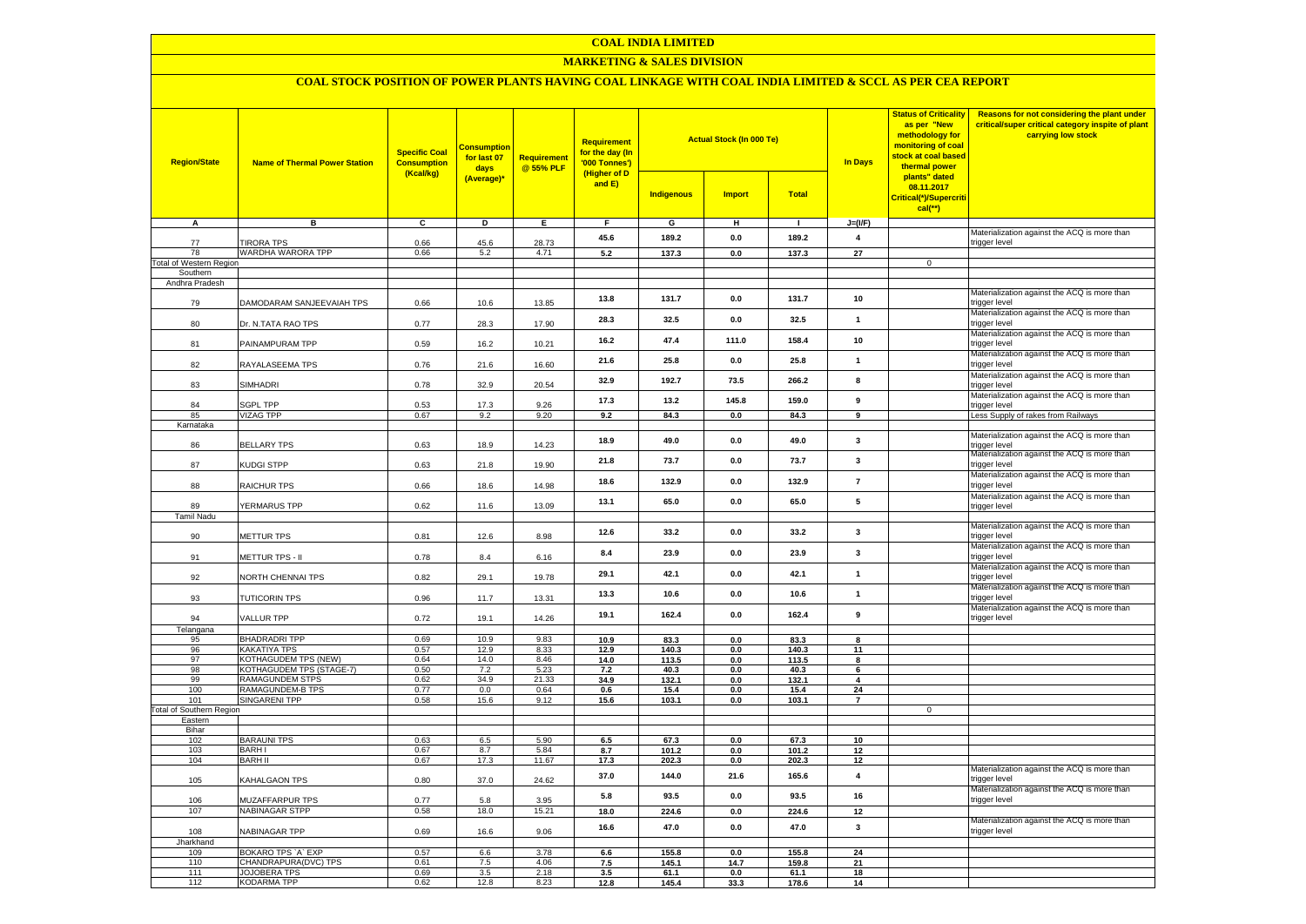#### **COAL INDIA LIMITED**

## **MARKETING & SALES DIVISION**

# **COAL STOCK POSITION OF POWER PLANTS HAVING COAL LINKAGE WITH COAL INDIA LIMITED & SCCL AS PER CEA REPORT**

| <b>Region/State</b>             | <b>Name of Thermal Power Station</b>        | <b>Specific Coal</b><br><b>Consumption</b><br>(Kcal/kg) | <b>Consumption</b><br>for last 07<br>days<br>(Average)* | Requirement<br>@ 55% PLF | <b>Requirement</b><br>for the day (In<br>'000 Tonnes')<br>(Higher of D<br>and E) | <b>Indigenous</b> | <b>Actual Stock (In 000 Te)</b><br><b>Import</b> | Total         | In Days                      | <b>Status of Criticality</b><br>as per "New<br>methodology for<br>monitoring of coal<br>stock at coal based<br>thermal power<br>plants" dated<br>08.11.2017<br>Critical(*)/Supercriti<br>$cal$ (**) | Reasons for not considering the plant under<br>critical/super critical category inspite of plant<br>carrying low stock |
|---------------------------------|---------------------------------------------|---------------------------------------------------------|---------------------------------------------------------|--------------------------|----------------------------------------------------------------------------------|-------------------|--------------------------------------------------|---------------|------------------------------|-----------------------------------------------------------------------------------------------------------------------------------------------------------------------------------------------------|------------------------------------------------------------------------------------------------------------------------|
| А                               | в                                           | c                                                       | D                                                       | $\overline{E}$           | F.                                                                               | G                 | н                                                | $\mathbf{L}$  | $J=(I/F)$                    |                                                                                                                                                                                                     |                                                                                                                        |
|                                 |                                             |                                                         |                                                         |                          | 45.6                                                                             | 189.2             | 0.0                                              | 189.2         | $\overline{\mathbf{4}}$      |                                                                                                                                                                                                     | Materialization against the ACQ is more than                                                                           |
| 77<br>78                        | <b>TIRORA TPS</b><br>WARDHA WARORA TPP      | 0.66<br>0.66                                            | 45.6<br>5.2                                             | 28.73<br>4.71            | 5.2                                                                              | 137.3             | 0.0                                              | 137.3         | $\overline{27}$              |                                                                                                                                                                                                     | trigger level                                                                                                          |
| <b>Total of Western Region</b>  |                                             |                                                         |                                                         |                          |                                                                                  |                   |                                                  |               |                              | $\mathbf 0$                                                                                                                                                                                         |                                                                                                                        |
| Southern                        |                                             |                                                         |                                                         |                          |                                                                                  |                   |                                                  |               |                              |                                                                                                                                                                                                     |                                                                                                                        |
| Andhra Pradesh                  |                                             |                                                         |                                                         |                          |                                                                                  |                   |                                                  |               |                              |                                                                                                                                                                                                     |                                                                                                                        |
| 79                              | DAMODARAM SANJEEVAIAH TPS                   | 0.66                                                    | 10.6                                                    | 13.85                    | 13.8                                                                             | 131.7             | 0.0                                              | 131.7         | 10                           |                                                                                                                                                                                                     | Materialization against the ACQ is more than<br>trigger level                                                          |
| 80                              | Dr. N.TATA RAO TPS                          | 0.77                                                    | 28.3                                                    | 17.90                    | 28.3                                                                             | 32.5              | 0.0                                              | 32.5          | $\mathbf{1}$                 |                                                                                                                                                                                                     | Materialization against the ACQ is more than<br>trigger level                                                          |
| 81                              | PAINAMPURAM TPP                             | 0.59                                                    | 16.2                                                    | 10.21                    | 16.2                                                                             | 47.4              | 111.0                                            | 158.4         | 10                           |                                                                                                                                                                                                     | Materialization against the ACQ is more than<br>trigger level                                                          |
| 82                              | RAYALASEEMA TPS                             | 0.76                                                    | 21.6                                                    | 16.60                    | 21.6                                                                             | 25.8              | 0.0                                              | 25.8          | $\mathbf{1}$                 |                                                                                                                                                                                                     | Materialization against the ACQ is more than<br>trigger level                                                          |
| 83                              | SIMHADRI                                    | 0.78                                                    | 32.9                                                    | 20.54                    | 32.9                                                                             | 192.7             | 73.5                                             | 266.2         | 8                            |                                                                                                                                                                                                     | Materialization against the ACQ is more than<br>trigger level                                                          |
| 84                              | SGPL TPP                                    | 0.53                                                    | 17.3                                                    | 9.26                     | 17.3                                                                             | 13.2              | 145.8                                            | 159.0         | 9                            |                                                                                                                                                                                                     | Materialization against the ACQ is more than<br>trigger level                                                          |
| 85                              | <b>VIZAG TPP</b>                            | 0.67                                                    | 9.2                                                     | 9.20                     | 9.2                                                                              | 84.3              | 0.0                                              | 84.3          | $\overline{9}$               |                                                                                                                                                                                                     | Less Supply of rakes from Railways                                                                                     |
| Karnataka                       |                                             |                                                         |                                                         |                          |                                                                                  |                   |                                                  |               |                              |                                                                                                                                                                                                     |                                                                                                                        |
| 86                              | <b>BELLARY TPS</b>                          | 0.63                                                    | 18.9                                                    | 14.23                    | 18.9                                                                             | 49.0              | 0.0                                              | 49.0          | $\overline{\mathbf{3}}$      |                                                                                                                                                                                                     | Materialization against the ACQ is more than<br>trigger level                                                          |
| 87                              | KUDGI STPP                                  | 0.63                                                    | 21.8                                                    | 19.90                    | 21.8                                                                             | 73.7              | 0.0                                              | 73.7          | 3                            |                                                                                                                                                                                                     | Materialization against the ACQ is more than<br>trigger level                                                          |
| 88                              | RAICHUR TPS                                 | 0.66                                                    | 18.6                                                    | 14.98                    | 18.6                                                                             | 132.9             | 0.0                                              | 132.9         | $\overline{7}$               |                                                                                                                                                                                                     | Materialization against the ACQ is more than<br>trigger level                                                          |
| 89<br><b>Tamil Nadu</b>         | YERMARUS TPP                                | 0.62                                                    | 11.6                                                    | 13.09                    | 13.1                                                                             | 65.0              | 0.0                                              | 65.0          | ${\bf 5}$                    |                                                                                                                                                                                                     | Materialization against the ACQ is more than<br>trigger level                                                          |
|                                 |                                             |                                                         |                                                         |                          |                                                                                  |                   |                                                  |               |                              |                                                                                                                                                                                                     | Materialization against the ACQ is more than                                                                           |
| 90                              | METTUR TPS                                  | 0.81                                                    | 12.6                                                    | 8.98                     | 12.6                                                                             | 33.2              | 0.0                                              | 33.2          | $\mathbf{3}$                 |                                                                                                                                                                                                     | trigger level<br>Materialization against the ACQ is more than                                                          |
| 91                              | METTUR TPS - II                             | 0.78                                                    | 8.4                                                     | 6.16                     | 8.4                                                                              | 23.9              | 0.0                                              | 23.9          | $\mathbf{3}$                 |                                                                                                                                                                                                     | trigger level<br>Materialization against the ACQ is more than                                                          |
| 92                              | NORTH CHENNAI TPS                           | 0.82                                                    | 29.1                                                    | 19.78                    | 29.1                                                                             | 42.1              | 0.0                                              | 42.1          | $\mathbf{1}$                 |                                                                                                                                                                                                     | trigger level<br>Materialization against the ACQ is more than                                                          |
| 93                              | TUTICORIN TPS                               | 0.96                                                    | 11.7                                                    | 13.31                    | 13.3                                                                             | 10.6              | 0.0                                              | 10.6          | $\mathbf{1}$                 |                                                                                                                                                                                                     | trigger level<br>Materialization against the ACQ is more than                                                          |
| 94<br>Telangana                 | VALLUR TPP                                  | 0.72                                                    | 19.1                                                    | 14.26                    | 19.1                                                                             | 162.4             | 0.0                                              | 162.4         | 9                            |                                                                                                                                                                                                     | trigger level                                                                                                          |
| 95                              | <b>BHADRADRI TPP</b>                        | 0.69                                                    | 10.9                                                    | 9.83                     | 10.9                                                                             | 83.3              | 0.0                                              | 83.3          | 8                            |                                                                                                                                                                                                     |                                                                                                                        |
| 96                              | KAKATIYA TPS                                | 0.57                                                    | 12.9                                                    | 8.33                     | 12.9                                                                             | 140.3             | 0.0                                              | 140.3         | 11                           |                                                                                                                                                                                                     |                                                                                                                        |
| 97                              | KOTHAGUDEM TPS (NEW)                        | 0.64                                                    | 14.0                                                    | 8.46                     | 14.0                                                                             | 113.5             | 0.0                                              | 113.5         | 8                            |                                                                                                                                                                                                     |                                                                                                                        |
| 98<br>99                        | KOTHAGUDEM TPS (STAGE-7)<br>RAMAGUNDEM STPS | 0.50<br>0.62                                            | 7.2<br>34.9                                             | 5.23<br>21.33            | 7.2<br>34.9                                                                      | 40.3<br>132.1     | 0.0<br>0.0                                       | 40.3<br>132.1 | 6<br>$\overline{\mathbf{4}}$ |                                                                                                                                                                                                     |                                                                                                                        |
| 100                             | RAMAGUNDEM-B TPS                            | 0.77                                                    | 0.0                                                     | 0.64                     | 0.6                                                                              | 15.4              | 0.0                                              | 15.4          | 24                           |                                                                                                                                                                                                     |                                                                                                                        |
| 101                             | <b>SINGARENI TPP</b>                        | 0.58                                                    | 15.6                                                    | 9.12                     | 15.6                                                                             | 103.1             | 0.0                                              | 103.1         | $\overline{7}$               |                                                                                                                                                                                                     |                                                                                                                        |
| <b>Total of Southern Region</b> |                                             |                                                         |                                                         |                          |                                                                                  |                   |                                                  |               |                              | $\mathbf 0$                                                                                                                                                                                         |                                                                                                                        |
| Eastern<br>Bihar                |                                             |                                                         |                                                         |                          |                                                                                  |                   |                                                  |               |                              |                                                                                                                                                                                                     |                                                                                                                        |
| 102                             | <b>BARAUNI TPS</b>                          | 0.63                                                    | 6.5                                                     | 5.90                     | 6.5                                                                              | 67.3              | 0.0                                              | 67.3          | 10                           |                                                                                                                                                                                                     |                                                                                                                        |
| 103                             | <b>BARHI</b>                                | 0.67                                                    | 8.7                                                     | 5.84                     | 8.7                                                                              | 101.2             | 0.0                                              | 101.2         | 12                           |                                                                                                                                                                                                     |                                                                                                                        |
| 104                             | <b>BARH II</b>                              | 0.67                                                    | 17.3                                                    | 11.67                    | 17.3                                                                             | 202.3             | 0.0                                              | 202.3         | 12                           |                                                                                                                                                                                                     |                                                                                                                        |
| 105                             | KAHALGAON TPS                               | 0.80                                                    | 37.0                                                    | 24.62                    | 37.0                                                                             | 144.0             | 21.6                                             | 165.6         | $\overline{\mathbf{4}}$      |                                                                                                                                                                                                     | Materialization against the ACQ is more than<br>trigger level                                                          |
| 106                             | MUZAFFARPUR TPS                             | 0.77                                                    | 5.8                                                     | 3.95                     | 5.8                                                                              | 93.5              | 0.0                                              | 93.5          | 16                           |                                                                                                                                                                                                     | Materialization against the ACQ is more than<br>trigger level                                                          |
| 107                             | NABINAGAR STPP                              | 0.58                                                    | 18.0                                                    | 15.21                    | 18.0                                                                             | 224.6             | $0.0\,$                                          | 224.6         | 12                           |                                                                                                                                                                                                     |                                                                                                                        |
| 108                             | NABINAGAR TPP                               | 0.69                                                    | 16.6                                                    | 9.06                     | 16.6                                                                             | 47.0              | 0.0                                              | 47.0          | $\mathbf{3}$                 |                                                                                                                                                                                                     | Materialization against the ACQ is more than<br>trigger level                                                          |
| Jharkhand                       | BOKARO TPS `A` EXP                          | 0.57                                                    | 6.6                                                     | 3.78                     | $6.6\,$                                                                          | 155.8             | 0.0                                              | 155.8         | 24                           |                                                                                                                                                                                                     |                                                                                                                        |
| 109<br>110                      | CHANDRAPURA(DVC) TPS                        | 0.61                                                    | 7.5                                                     | 4.06                     | 7.5                                                                              | 145.1             | 14.7                                             | 159.8         | 21                           |                                                                                                                                                                                                     |                                                                                                                        |
| 111                             | <b>JOJOBERA TPS</b>                         | 0.69                                                    | 3.5                                                     | 2.18                     | 3.5                                                                              | 61.1              | $\mathbf{0.0}$                                   | 61.1          | 18                           |                                                                                                                                                                                                     |                                                                                                                        |
| 112                             | <b>KODARMA TPP</b>                          | 0.62                                                    | 12.8                                                    | 8.23                     | 12.8                                                                             | 145.4             | 33.3                                             | 178.6         | 14                           |                                                                                                                                                                                                     |                                                                                                                        |